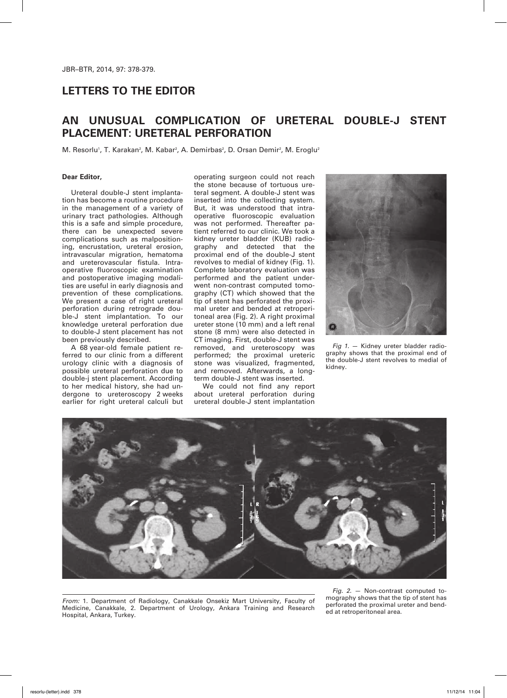## **LETTERS TO THE EDITOR**

# **AN UNUSUAL COMPLICATION OF URETERAL DOUBLE-J STENT PLACEMENT: URETERAL PERFORATION**

M. Resorlu<sup>1</sup>, T. Karakan<sup>2</sup>, M. Kabar<sup>2</sup>, A. Demirbas<sup>2</sup>, D. Orsan Demir<sup>2</sup>, M. Eroglu<sup>2</sup>

#### **Dear Editor,**

Ureteral double-J stent implantation has become a routine procedure in the management of a variety of urinary tract pathologies. Although this is a safe and simple procedure, there can be unexpected severe complications such as malpositioning, encrustation, ureteral erosion, intravascular migration, hematoma and ureterovascular fistula. Intraoperative fluoroscopic examination and postoperative imaging modalities are useful in early diagnosis and prevention of these complications. We present a case of right ureteral perforation during retrograde double-J stent implantation. To our knowledge ureteral perforation due to double-J stent placement has not been previously described.

A 68 year-old female patient referred to our clinic from a different urology clinic with a diagnosis of possible ureteral perforation due to double-j stent placement. According to her medical history, she had undergone to ureteroscopy 2 weeks earlier for right ureteral calculi but

operating surgeon could not reach the stone because of tortuous ureteral segment. A double-J stent was inserted into the collecting system. But, it was understood that intraoperative fluoroscopic evaluation was not performed. Thereafter patient referred to our clinic. We took a kidney ureter bladder (KUB) radiography and detected that the proximal end of the double-J stent revolves to medial of kidney (Fig. 1). Complete laboratory evaluation was performed and the patient underwent non-contrast computed tomography (CT) which showed that the tip of stent has perforated the proximal ureter and bended at retroperitoneal area (Fig. 2). A right proximal ureter stone (10 mm) and a left renal stone (8 mm) were also detected in CT imaging. First, double-J stent was removed, and ureteroscopy was performed; the proximal ureteric stone was visualized, fragmented, and removed. Afterwards, a longterm double-J stent was inserted.

We could not find any report about ureteral perforation during ureteral double-J stent implantation



*Fig 1.* — Kidney ureter bladder radiography shows that the proximal end of the double-J stent revolves to medial of kidney.



*From:* 1. Department of Radiology, Canakkale Onsekiz Mart University, Faculty of Medicine, Canakkale, 2. Department of Urology, Ankara Training and Research Hospital, Ankara, Turkey.

*Fig. 2.* — Non-contrast computed tomography shows that the tip of stent has perforated the proximal ureter and bended at retroperitoneal area.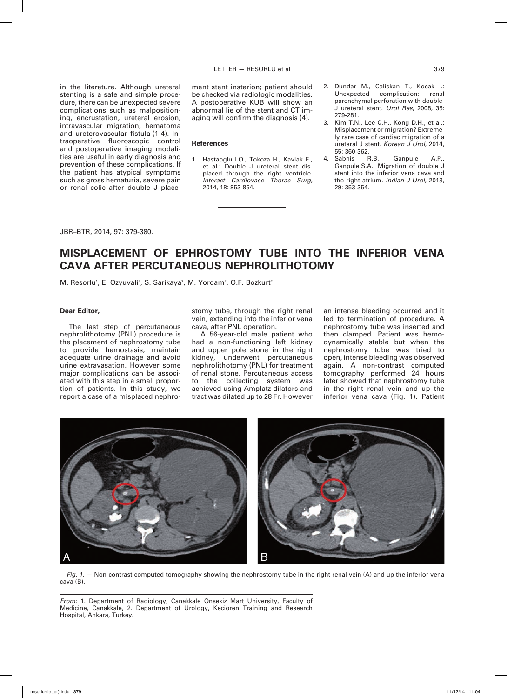in the literature. Although ureteral stenting is a safe and simple procedure, there can be unexpected severe complications such as malpositioning, encrustation, ureteral erosion, intravascular migration, hematoma and ureterovascular fistula (1-4). Intraoperative fluoroscopic control and postoperative imaging modalities are useful in early diagnosis and prevention of these complications. If the patient has atypical symptoms such as gross hematuria, severe pain or renal colic after double J placement stent insterion; patient should be checked via radiologic modalities. A postoperative KUB will show an abnormal lie of the stent and CT imaging will confirm the diagnosis (4).

#### **References**

- 1. Hastaoglu I.O., Tokoza H., Kavlak E., et al.: Double J ureteral stent displaced through the right ventricle. *Interact Cardiovasc Thorac Surg*, 2014, 18: 853-854.
- 2. Dundar M., Caliskan T., Kocak I.:<br>Unexpected complication: renal complication: parenchymal perforation with double-J ureteral stent. *Urol Res*, 2008, 36: 279-281.
- Kim T.N., Lee C.H., Kong D.H., et al.: Misplacement or migration? Extremely rare case of cardiac migration of a ureteral J stent. *Korean J Urol*, 2014, 55: 360-362.<br>Sabnis R.B..
- 4. Sabnis R.B., Ganpule A.P., Ganpule S.A.: Migration of double J stent into the inferior vena cava and the right atrium. *Indian J Urol*, 2013, 29: 353-354.

JBR–BTR, 2014, 97: 379-380.

# **Misplacement of ephrostomy Tube into the Inferior Vena Cava After Percutaneous Nephrolithotomy**

M. Resorlu<sup>1</sup>, E. Ozyuvali<sup>2</sup>, S. Sarikaya<sup>2</sup>, M. Yordam<sup>2</sup>, O.F. Bozkurt<sup>2</sup>

#### **Dear Editor,**

The last step of percutaneous nephrolithotomy (PNL) procedure is the placement of nephrostomy tube to provide hemostasis, maintain adequate urine drainage and avoid urine extravasation. However some major complications can be associated with this step in a small proportion of patients. In this study, we report a case of a misplaced nephro-

stomy tube, through the right renal vein, extending into the inferior vena cava, after PNL operation.

A 56-year-old male patient who had a non-functioning left kidney and upper pole stone in the right kidney, underwent percutaneous nephrolithotomy (PNL) for treatment of renal stone. Percutaneous access to the collecting system was achieved using Amplatz dilators and tract was dilated up to 28 Fr. However

an intense bleeding occurred and it led to termination of procedure. A nephrostomy tube was inserted and then clamped. Patient was hemodynamically stable but when the nephrostomy tube was tried to open, intense bleeding was observed again. A non-contrast computed tomography performed 24 hours later showed that nephrostomy tube in the right renal vein and up the inferior vena cava (Fig. 1). Patient



*Fig. 1.* — Non-contrast computed tomography showing the nephrostomy tube in the right renal vein (A) and up the inferior vena cava (B).

*From:* 1. Department of Radiology, Canakkale Onsekiz Mart University, Faculty of Medicine, Canakkale, 2. Department of Urology, Kecioren Training and Research Hospital, Ankara, Turkey.